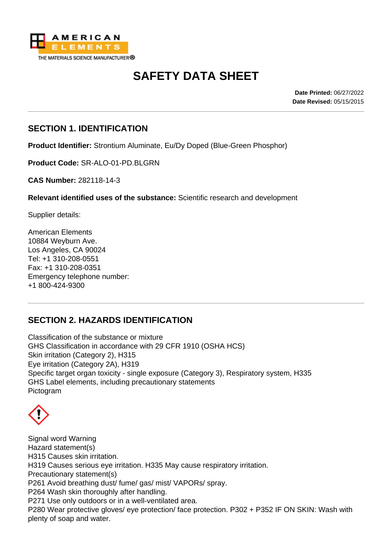

# **SAFETY DATA SHEET**

**Date Printed:** 06/27/2022 **Date Revised:** 05/15/2015

# **SECTION 1. IDENTIFICATION**

**Product Identifier:** Strontium Aluminate, Eu/Dy Doped (Blue-Green Phosphor)

**Product Code:** SR-ALO-01-PD.BLGRN

**CAS Number:** 282118-14-3

**Relevant identified uses of the substance:** Scientific research and development

Supplier details:

American Elements 10884 Weyburn Ave. Los Angeles, CA 90024 Tel: +1 310-208-0551 Fax: +1 310-208-0351 Emergency telephone number: +1 800-424-9300

# **SECTION 2. HAZARDS IDENTIFICATION**

Classification of the substance or mixture GHS Classification in accordance with 29 CFR 1910 (OSHA HCS) Skin irritation (Category 2), H315 Eye irritation (Category 2A), H319 Specific target organ toxicity - single exposure (Category 3), Respiratory system, H335 GHS Label elements, including precautionary statements Pictogram

Signal word Warning Hazard statement(s) H315 Causes skin irritation. H319 Causes serious eye irritation. H335 May cause respiratory irritation. Precautionary statement(s) P261 Avoid breathing dust/ fume/ gas/ mist/ VAPORs/ spray. P264 Wash skin thoroughly after handling. P271 Use only outdoors or in a well-ventilated area. P280 Wear protective gloves/ eye protection/ face protection. P302 + P352 IF ON SKIN: Wash with plenty of soap and water.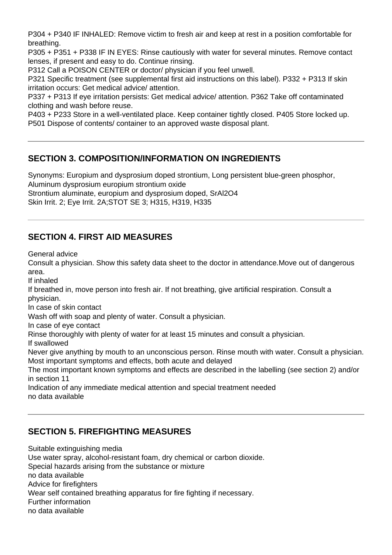P304 + P340 IF INHALED: Remove victim to fresh air and keep at rest in a position comfortable for breathing.

P305 + P351 + P338 IF IN EYES: Rinse cautiously with water for several minutes. Remove contact lenses, if present and easy to do. Continue rinsing.

P312 Call a POISON CENTER or doctor/ physician if you feel unwell.

P321 Specific treatment (see supplemental first aid instructions on this label). P332 + P313 If skin irritation occurs: Get medical advice/ attention.

P337 + P313 If eye irritation persists: Get medical advice/ attention. P362 Take off contaminated clothing and wash before reuse.

P403 + P233 Store in a well-ventilated place. Keep container tightly closed. P405 Store locked up. P501 Dispose of contents/ container to an approved waste disposal plant.

# **SECTION 3. COMPOSITION/INFORMATION ON INGREDIENTS**

Synonyms: Europium and dysprosium doped strontium, Long persistent blue-green phosphor, Aluminum dysprosium europium strontium oxide Strontium aluminate, europium and dysprosium doped, SrAl2O4

Skin Irrit. 2; Eye Irrit. 2A;STOT SE 3; H315, H319, H335

# **SECTION 4. FIRST AID MEASURES**

General advice

Consult a physician. Show this safety data sheet to the doctor in attendance.Move out of dangerous area.

If inhaled

If breathed in, move person into fresh air. If not breathing, give artificial respiration. Consult a physician.

In case of skin contact

Wash off with soap and plenty of water. Consult a physician.

In case of eye contact

Rinse thoroughly with plenty of water for at least 15 minutes and consult a physician.

If swallowed

Never give anything by mouth to an unconscious person. Rinse mouth with water. Consult a physician. Most important symptoms and effects, both acute and delayed

The most important known symptoms and effects are described in the labelling (see section 2) and/or in section 11

Indication of any immediate medical attention and special treatment needed no data available

# **SECTION 5. FIREFIGHTING MEASURES**

Suitable extinguishing media Use water spray, alcohol-resistant foam, dry chemical or carbon dioxide. Special hazards arising from the substance or mixture no data available Advice for firefighters Wear self contained breathing apparatus for fire fighting if necessary. Further information no data available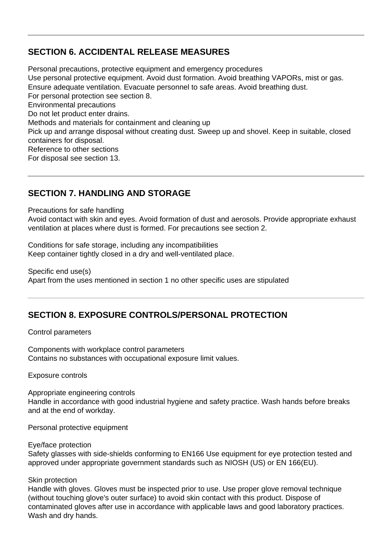# **SECTION 6. ACCIDENTAL RELEASE MEASURES**

Personal precautions, protective equipment and emergency procedures Use personal protective equipment. Avoid dust formation. Avoid breathing VAPORs, mist or gas. Ensure adequate ventilation. Evacuate personnel to safe areas. Avoid breathing dust. For personal protection see section 8. Environmental precautions Do not let product enter drains. Methods and materials for containment and cleaning up Pick up and arrange disposal without creating dust. Sweep up and shovel. Keep in suitable, closed containers for disposal. Reference to other sections For disposal see section 13.

# **SECTION 7. HANDLING AND STORAGE**

Precautions for safe handling

Avoid contact with skin and eyes. Avoid formation of dust and aerosols. Provide appropriate exhaust ventilation at places where dust is formed. For precautions see section 2.

Conditions for safe storage, including any incompatibilities Keep container tightly closed in a dry and well-ventilated place.

Specific end use(s) Apart from the uses mentioned in section 1 no other specific uses are stipulated

# **SECTION 8. EXPOSURE CONTROLS/PERSONAL PROTECTION**

#### Control parameters

Components with workplace control parameters Contains no substances with occupational exposure limit values.

Exposure controls

Appropriate engineering controls Handle in accordance with good industrial hygiene and safety practice. Wash hands before breaks and at the end of workday.

Personal protective equipment

Eye/face protection

Safety glasses with side-shields conforming to EN166 Use equipment for eye protection tested and approved under appropriate government standards such as NIOSH (US) or EN 166(EU).

#### Skin protection

Handle with gloves. Gloves must be inspected prior to use. Use proper glove removal technique (without touching glove's outer surface) to avoid skin contact with this product. Dispose of contaminated gloves after use in accordance with applicable laws and good laboratory practices. Wash and dry hands.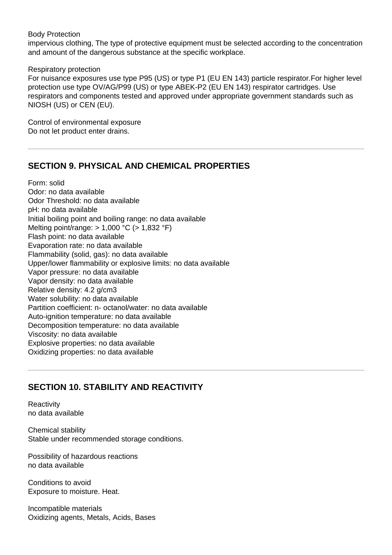Body Protection

impervious clothing, The type of protective equipment must be selected according to the concentration and amount of the dangerous substance at the specific workplace.

Respiratory protection

For nuisance exposures use type P95 (US) or type P1 (EU EN 143) particle respirator.For higher level protection use type OV/AG/P99 (US) or type ABEK-P2 (EU EN 143) respirator cartridges. Use respirators and components tested and approved under appropriate government standards such as NIOSH (US) or CEN (EU).

Control of environmental exposure Do not let product enter drains.

### **SECTION 9. PHYSICAL AND CHEMICAL PROPERTIES**

Form: solid Odor: no data available Odor Threshold: no data available pH: no data available Initial boiling point and boiling range: no data available Melting point/range: > 1,000 °C (> 1,832 °F) Flash point: no data available Evaporation rate: no data available Flammability (solid, gas): no data available Upper/lower flammability or explosive limits: no data available Vapor pressure: no data available Vapor density: no data available Relative density: 4.2 g/cm3 Water solubility: no data available Partition coefficient: n- octanol/water: no data available Auto-ignition temperature: no data available Decomposition temperature: no data available Viscosity: no data available Explosive properties: no data available Oxidizing properties: no data available

# **SECTION 10. STABILITY AND REACTIVITY**

**Reactivity** no data available

Chemical stability Stable under recommended storage conditions.

Possibility of hazardous reactions no data available

Conditions to avoid Exposure to moisture. Heat.

Incompatible materials Oxidizing agents, Metals, Acids, Bases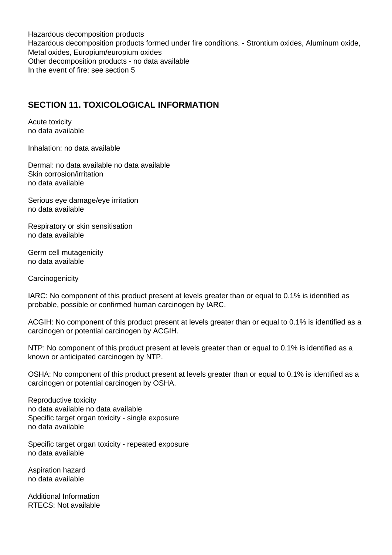Hazardous decomposition products Hazardous decomposition products formed under fire conditions. - Strontium oxides, Aluminum oxide, Metal oxides, Europium/europium oxides Other decomposition products - no data available In the event of fire: see section 5

# **SECTION 11. TOXICOLOGICAL INFORMATION**

Acute toxicity no data available

Inhalation: no data available

Dermal: no data available no data available Skin corrosion/irritation no data available

Serious eye damage/eye irritation no data available

Respiratory or skin sensitisation no data available

Germ cell mutagenicity no data available

**Carcinogenicity** 

IARC: No component of this product present at levels greater than or equal to 0.1% is identified as probable, possible or confirmed human carcinogen by IARC.

ACGIH: No component of this product present at levels greater than or equal to 0.1% is identified as a carcinogen or potential carcinogen by ACGIH.

NTP: No component of this product present at levels greater than or equal to 0.1% is identified as a known or anticipated carcinogen by NTP.

OSHA: No component of this product present at levels greater than or equal to 0.1% is identified as a carcinogen or potential carcinogen by OSHA.

Reproductive toxicity no data available no data available Specific target organ toxicity - single exposure no data available

Specific target organ toxicity - repeated exposure no data available

Aspiration hazard no data available

Additional Information RTECS: Not available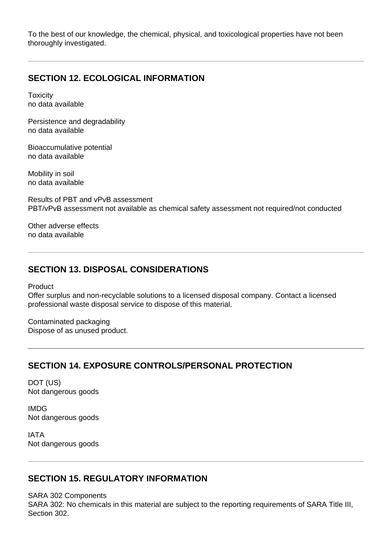To the best of our knowledge, the chemical, physical, and toxicological properties have not been thoroughly investigated.

### **SECTION 12. ECOLOGICAL INFORMATION**

**Toxicity** no data available

Persistence and degradability no data available

Bioaccumulative potential no data available

Mobility in soil no data available

Results of PBT and vPvB assessment PBT/vPvB assessment not available as chemical safety assessment not required/not conducted

Other adverse effects no data available

### **SECTION 13. DISPOSAL CONSIDERATIONS**

Product

Offer surplus and non-recyclable solutions to a licensed disposal company. Contact a licensed professional waste disposal service to dispose of this material.

Contaminated packaging Dispose of as unused product.

### **SECTION 14. EXPOSURE CONTROLS/PERSONAL PROTECTION**

DOT (US) Not dangerous goods

IMDG Not dangerous goods

IATA Not dangerous goods

### **SECTION 15. REGULATORY INFORMATION**

SARA 302 Components SARA 302: No chemicals in this material are subject to the reporting requirements of SARA Title III, Section 302.